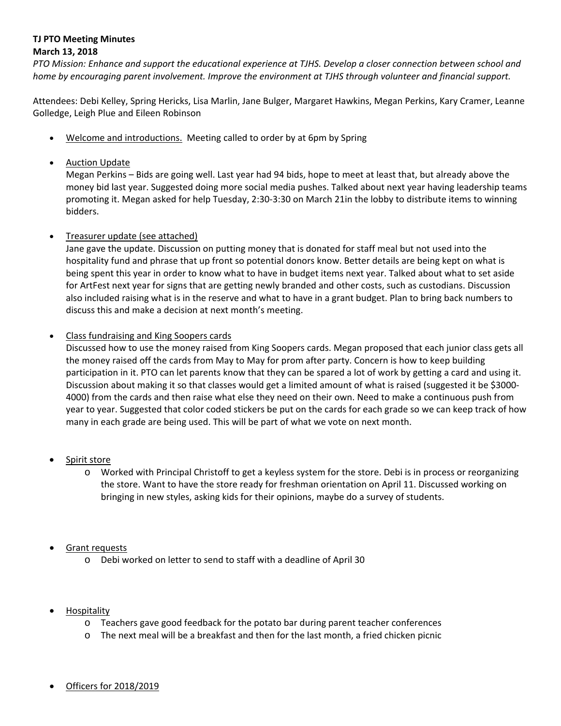## **TJ PTO Meeting Minutes March 13, 2018**

PTO Mission: Enhance and support the educational experience at TJHS. Develop a closer connection between school and *home by encouraging parent involvement. Improve the environment at TJHS through volunteer and financial support.*

Attendees: Debi Kelley, Spring Hericks, Lisa Marlin, Jane Bulger, Margaret Hawkins, Megan Perkins, Kary Cramer, Leanne Golledge, Leigh Plue and Eileen Robinson

- Welcome and introductions. Meeting called to order by at 6pm by Spring
- Auction Update

Megan Perkins – Bids are going well. Last year had 94 bids, hope to meet at least that, but already above the money bid last year. Suggested doing more social media pushes. Talked about next year having leadership teams promoting it. Megan asked for help Tuesday, 2:30‐3:30 on March 21in the lobby to distribute items to winning bidders.

## Treasurer update (see attached)

Jane gave the update. Discussion on putting money that is donated for staff meal but not used into the hospitality fund and phrase that up front so potential donors know. Better details are being kept on what is being spent this year in order to know what to have in budget items next year. Talked about what to set aside for ArtFest next year for signs that are getting newly branded and other costs, such as custodians. Discussion also included raising what is in the reserve and what to have in a grant budget. Plan to bring back numbers to discuss this and make a decision at next month's meeting.

## Class fundraising and King Soopers cards

Discussed how to use the money raised from King Soopers cards. Megan proposed that each junior class gets all the money raised off the cards from May to May for prom after party. Concern is how to keep building participation in it. PTO can let parents know that they can be spared a lot of work by getting a card and using it. Discussion about making it so that classes would get a limited amount of what is raised (suggested it be \$3000‐ 4000) from the cards and then raise what else they need on their own. Need to make a continuous push from year to year. Suggested that color coded stickers be put on the cards for each grade so we can keep track of how many in each grade are being used. This will be part of what we vote on next month.

- Spirit store
	- o Worked with Principal Christoff to get a keyless system for the store. Debi is in process or reorganizing the store. Want to have the store ready for freshman orientation on April 11. Discussed working on bringing in new styles, asking kids for their opinions, maybe do a survey of students.

## Grant requests

- o Debi worked on letter to send to staff with a deadline of April 30
- Hospitality
	- o Teachers gave good feedback for the potato bar during parent teacher conferences
	- o The next meal will be a breakfast and then for the last month, a fried chicken picnic
- Officers for 2018/2019